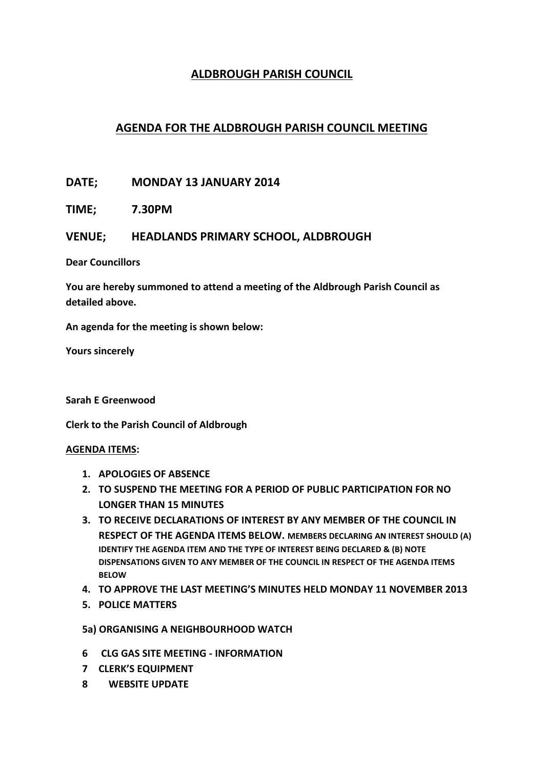## **ALDBROUGH PARISH COUNCIL**

## **AGENDA FOR THE ALDBROUGH PARISH COUNCIL MEETING**

**DATE; MONDAY 13 JANUARY 2014**

**TIME; 7.30PM**

## **VENUE; HEADLANDS PRIMARY SCHOOL, ALDBROUGH**

**Dear Councillors**

**You are hereby summoned to attend a meeting of the Aldbrough Parish Council as detailed above.**

**An agenda for the meeting is shown below:**

**Yours sincerely**

**Sarah E Greenwood**

**Clerk to the Parish Council of Aldbrough**

## **AGENDA ITEMS:**

- **1. APOLOGIES OF ABSENCE**
- **2. TO SUSPEND THE MEETING FOR A PERIOD OF PUBLIC PARTICIPATION FOR NO LONGER THAN 15 MINUTES**
- **3. TO RECEIVE DECLARATIONS OF INTEREST BY ANY MEMBER OF THE COUNCIL IN RESPECT OF THE AGENDA ITEMS BELOW. MEMBERS DECLARING AN INTEREST SHOULD (A) IDENTIFY THE AGENDA ITEM AND THE TYPE OF INTEREST BEING DECLARED & (B) NOTE DISPENSATIONS GIVEN TO ANY MEMBER OF THE COUNCIL IN RESPECT OF THE AGENDA ITEMS BELOW**
- **4. TO APPROVE THE LAST MEETING'S MINUTES HELD MONDAY 11 NOVEMBER 2013**
- **5. POLICE MATTERS**
- **5a) ORGANISING A NEIGHBOURHOOD WATCH**
- **6 CLG GAS SITE MEETING - INFORMATION**
- **7 CLERK'S EQUIPMENT**
- **8 WEBSITE UPDATE**